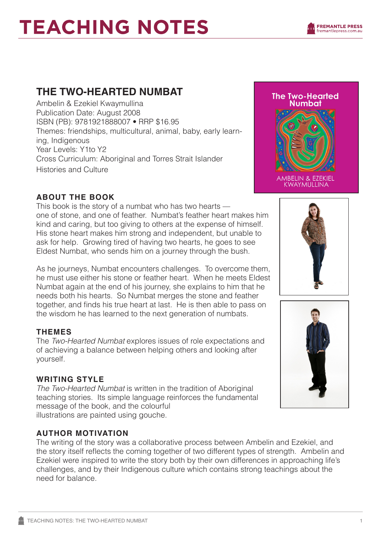# **TEACHING NOTES**

### **THE TWO-HEARTED NUMBAT**

Ambelin & Ezekiel Kwaymullina Publication Date: August 2008 ISBN (PB): 9781921888007 • RRP \$16.95 Themes: friendships, multicultural, animal, baby, early learning, Indigenous Year Levels: Y1to Y2 Cross Curriculum: Aboriginal and Torres Strait Islander Histories and Culture

## **The Two-Hearted Numbat**



AMBELIN & EZEKIEL<br>KWAYMULLINA

#### **ABOUT THE BOOK**

This book is the story of a numbat who has two hearts one of stone, and one of feather. Numbat's feather heart makes him kind and caring, but too giving to others at the expense of himself. His stone heart makes him strong and independent, but unable to ask for help. Growing tired of having two hearts, he goes to see Eldest Numbat, who sends him on a journey through the bush.

As he journeys, Numbat encounters challenges. To overcome them, he must use either his stone or feather heart. When he meets Eldest Numbat again at the end of his journey, she explains to him that he needs both his hearts. So Numbat merges the stone and feather together, and finds his true heart at last. He is then able to pass on the wisdom he has learned to the next generation of numbats.

#### **THEMES**

The *Two-Hearted Numbat* explores issues of role expectations and of achieving a balance between helping others and looking after yourself.

#### **WRITING STYLE**

*The Two-Hearted Numbat* is written in the tradition of Aboriginal teaching stories. Its simple language reinforces the fundamental message of the book, and the colourful illustrations are painted using gouche.

#### **AUTHOR MOTIVATION**

The writing of the story was a collaborative process between Ambelin and Ezekiel, and the story itself reflects the coming together of two different types of strength. Ambelin and Ezekiel were inspired to write the story both by their own differences in approaching life's challenges, and by their Indigenous culture which contains strong teachings about the need for balance.